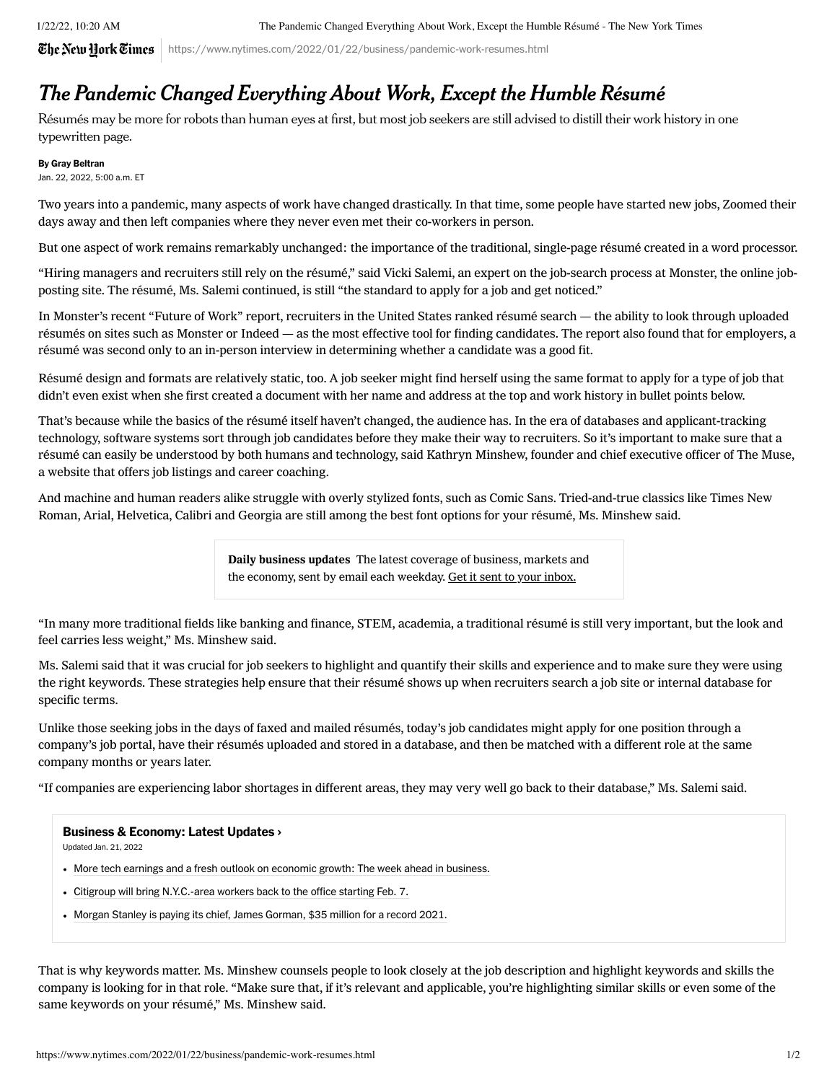$\mathbf{\mathcal{\widetilde{C}he \,N}ew\,Hork}$   $\mathbf{\widetilde{C}imes}$  | https://www.nytimes.com/2022/01/22/business/pandemic-work-resumes.html

## The Pandemic Changed Everything About Work, Except the Humble Résumé

Résumés may be more for robots than human eyes at first, but most job seekers are still advised to distill their work history in one typewritten page.

By Gray Beltran

Jan. 22, 2022, 5:00 a.m. ET

Two years into a pandemic, many aspects of work have changed drastically. In that time, some people have started new jobs, Zoomed their days away and then left companies where they never even met their [co-workers](https://www.nytimes.com/2021/03/24/business/citi-zoom-free-fridays.html?searchResultPosition=3) in person.

But one aspect of work remains remarkably unchanged: the importance of the traditional, single-page résumé created in a word processor.

"Hiring managers and recruiters still rely on the résumé," said Vicki Salemi, an expert on the job-search process at Monster, the online jobposting site. The résumé, Ms. Salemi continued, is still "the standard to apply for a job and get noticed."

In Monster's recent ["Future](https://media.monster.com/marketing/2022/fow-2022-infographic-pr.pdf) of Work" report, recruiters in the United States ranked résumé search — the ability to look through uploaded résumés on sites such as Monster or Indeed — as the most effective tool for finding candidates. The report also found that for employers, a résumé was second only to an in-person interview in determining whether a candidate was a good fit.

Résumé design and formats are relatively static, too. A job seeker might find herself using the same format to apply for a type of job that didn't even exist when she first created a document with her name and address at the top and work history in bullet points below.

That's because while the basics of the résumé itself haven't changed, the audience has. In the era of databases and applicant-tracking technology, software systems sort through job candidates before they make their way to recruiters. So it's important to make sure that a résumé can easily be understood by both humans and technology, said Kathryn Minshew, founder and chief executive officer of The Muse, a website that offers job listings and career coaching.

And machine and human readers alike struggle with overly stylized fonts, such as Comic Sans. Tried-and-true classics like Times New Roman, Arial, Helvetica, Calibri and Georgia are still among the best font options for your résumé, Ms. Minshew said.

> Daily business updates The latest coverage of business, markets and the economy, sent by email each weekday. Get it sent to your inbox.

"In many more traditional fields like banking and finance, STEM, academia, a traditional résumé is still very important, but the look and feel carries less weight," Ms. Minshew said.

Ms. Salemi said that it was crucial for job seekers to highlight and quantify their skills and experience and to make sure they were using the right keywords. These strategies help ensure that their résumé shows up when recruiters search a job site or internal database for specific terms.

Unlike those seeking jobs in the days of faxed and mailed résumés, today's job candidates might apply for one position through a company's job portal, have their résumés uploaded and stored in a database, and then be matched with a different role at the same company months or years later.

"If companies are experiencing labor shortages in different areas, they may very well go back to their database," Ms. Salemi said.

## [Business & Economy: Latest Updates](https://www.nytimes.com/live/2022/01/21/business/stock-market-economy-news?name=styln-business-live®ion=MAIN_CONTENT_2&block=storyline_latest_updates_recirc&action=click&pgtype=Article&variant=show&index=0) ›

Updated Jan. 21, 2022

- [More tech earnings and a fresh outlook on economic growth: The week ahead in business.](https://www.nytimes.com/live/2022/01/21/business/stock-market-economy-news?name=styln-business-live®ion=MAIN_CONTENT_2&block=storyline_latest_updates_recirc&action=click&pgtype=Article&variant=show&index=1#more-tech-earnings-and-a-fresh-outlook-on-economic-growth-the-week-ahead-in-business)
- [Citigroup will bring N.Y.C.-area workers back to the office starting Feb. 7.](https://www.nytimes.com/live/2022/01/21/business/stock-market-economy-news?name=styln-business-live®ion=MAIN_CONTENT_2&block=storyline_latest_updates_recirc&action=click&pgtype=Article&variant=show&index=1#citigroup-will-bring-nyc-area-workers-back-to-the-office-starting-feb-7)
- [Morgan Stanley is paying its chief, James Gorman, \\$35 million for a record 2021.](https://www.nytimes.com/live/2022/01/21/business/stock-market-economy-news?name=styln-business-live®ion=MAIN_CONTENT_2&block=storyline_latest_updates_recirc&action=click&pgtype=Article&variant=show&index=1#morgan-stanley-is-paying-its-chief-james-gorman-35-million-for-a-record-2021)

That is why keywords matter. Ms. Minshew counsels people to look closely at the job description and highlight keywords and skills the company is looking for in that role. "Make sure that, if it's relevant and applicable, you're highlighting similar skills or even some of the same keywords on your résumé," Ms. Minshew said.